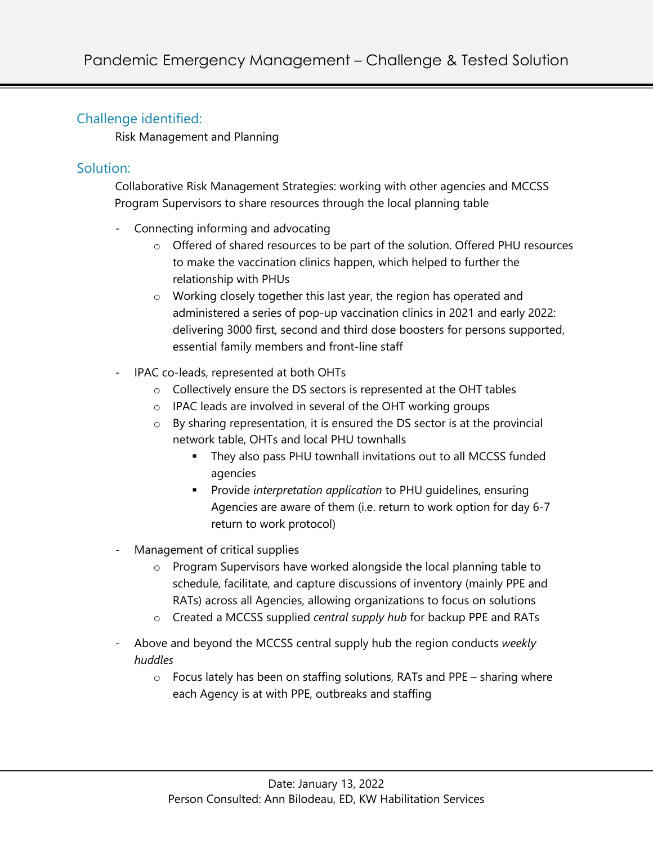# Challenge identified:

Risk Management and Planning

# Solution:

Collaborative Risk Management Strategies: working with other agencies and MCCSS Program Supervisors to share resources through the local planning table

- Connecting informing and advocating
	- o Offered of shared resources to be part of the solution. Offered PHU resources to make the vaccination clinics happen, which helped to further the relationship with PHUs
	- o Working closely together this last year, the region has operated and administered a series of pop-up vaccination clinics in 2021 and early 2022: delivering 3000 first, second and third dose boosters for persons supported, essential family members and front-line staff
- IPAC co-leads, represented at both OHTs
	- o Collectively ensure the DS sectors is represented at the OHT tables
	- o IPAC leads are involved in several of the OHT working groups
	- o By sharing representation, it is ensured the DS sector is at the provincial network table, OHTs and local PHU townhalls
		- § They also pass PHU townhall invitations out to all MCCSS funded agencies
		- § Provide *interpretation application* to PHU guidelines, ensuring Agencies are aware of them (i.e. return to work option for day 6-7 return to work protocol)
- Management of critical supplies
	- o Program Supervisors have worked alongside the local planning table to schedule, facilitate, and capture discussions of inventory (mainly PPE and RATs) across all Agencies, allowing organizations to focus on solutions
	- o Created a MCCSS supplied *central supply hub* for backup PPE and RATs
- Above and beyond the MCCSS central supply hub the region conducts *weekly huddles* 
	- o Focus lately has been on staffing solutions, RATs and PPE sharing where each Agency is at with PPE, outbreaks and staffing